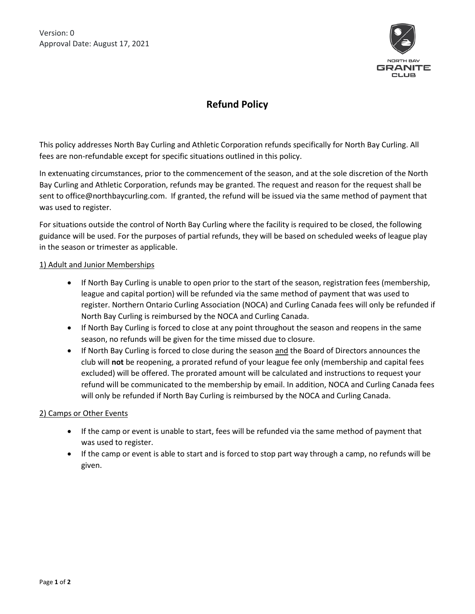Version: 0 Approval Date: August 17, 2021



# **Refund Policy**

This policy addresses North Bay Curling and Athletic Corporation refunds specifically for North Bay Curling. All fees are non-refundable except for specific situations outlined in this policy.

In extenuating circumstances, prior to the commencement of the season, and at the sole discretion of the North Bay Curling and Athletic Corporation, refunds may be granted. The request and reason for the request shall be sent to office@northbaycurling.com. If granted, the refund will be issued via the same method of payment that was used to register.

For situations outside the control of North Bay Curling where the facility is required to be closed, the following guidance will be used. For the purposes of partial refunds, they will be based on scheduled weeks of league play in the season or trimester as applicable.

### 1) Adult and Junior Memberships

- If North Bay Curling is unable to open prior to the start of the season, registration fees (membership, league and capital portion) will be refunded via the same method of payment that was used to register. Northern Ontario Curling Association (NOCA) and Curling Canada fees will only be refunded if North Bay Curling is reimbursed by the NOCA and Curling Canada.
- If North Bay Curling is forced to close at any point throughout the season and reopens in the same season, no refunds will be given for the time missed due to closure.
- If North Bay Curling is forced to close during the season and the Board of Directors announces the club will **not** be reopening, a prorated refund of your league fee only (membership and capital fees excluded) will be offered. The prorated amount will be calculated and instructions to request your refund will be communicated to the membership by email. In addition, NOCA and Curling Canada fees will only be refunded if North Bay Curling is reimbursed by the NOCA and Curling Canada.

#### 2) Camps or Other Events

- If the camp or event is unable to start, fees will be refunded via the same method of payment that was used to register.
- If the camp or event is able to start and is forced to stop part way through a camp, no refunds will be given.